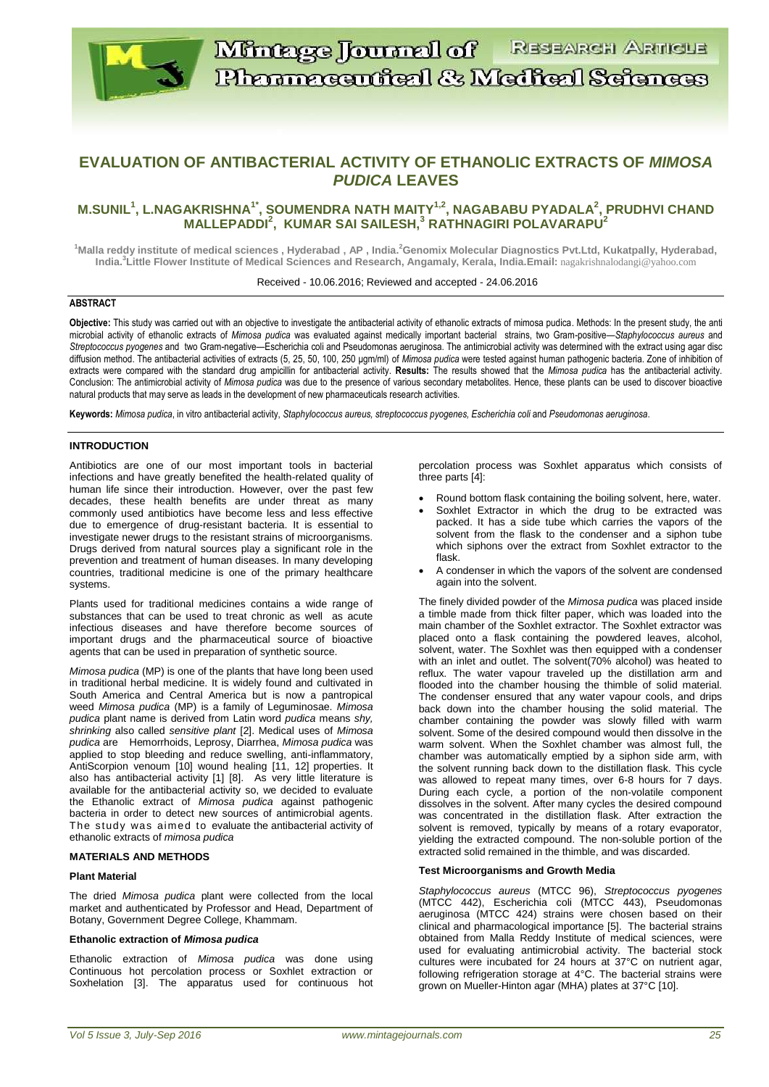

# **EVALUATION OF ANTIBACTERIAL ACTIVITY OF ETHANOLIC EXTRACTS OF** *MIMOSA PUDICA* **LEAVES**

## **M.SUNIL<sup>1</sup> , L.NAGAKRISHNA1\*, SOUMENDRA NATH MAITY1,2, NAGABABU PYADALA<sup>2</sup> , PRUDHVI CHAND MALLEPADDI<sup>2</sup> , KUMAR SAI SAILESH,<sup>3</sup> RATHNAGIRI POLAVARAPU<sup>2</sup>**

**<sup>1</sup>Malla reddy institute of medical sciences , Hyderabad , AP , India. <sup>2</sup>Genomix Molecular Diagnostics Pvt.Ltd, Kukatpally, Hyderabad, India. 3 Little Flower Institute of Medical Sciences and Research, Angamaly, Kerala, India.Email:** nagakrishnalodangi@yahoo.com

Received - 10.06.2016; Reviewed and accepted - 24.06.2016

## **ABSTRACT**

Objective: This study was carried out with an objective to investigate the antibacterial activity of ethanolic extracts of mimosa pudica. Methods: In the present study, the anti microbial activity of ethanolic extracts of *Mimosa pudica* was evaluated against medically important bacterial strains, two Gram-positive—*Staphylococcus aureus* and *Streptococcus pyogenes* and two Gram-negative—Escherichia coli and Pseudomonas aeruginosa. The antimicrobial activity was determined with the extract using agar disc diffusion method. The antibacterial activities of extracts (5, 25, 50, 100, 250 µgm/ml) of *Mimosa pudica* were tested against human pathogenic bacteria. Zone of inhibition of extracts were compared with the standard drug ampicillin for antibacterial activity. **Results:** The results showed that the *Mimosa pudica* has the antibacterial activity. Conclusion: The antimicrobial activity of *Mimosa pudica* was due to the presence of various secondary metabolites. Hence, these plants can be used to discover bioactive natural products that may serve as leads in the development of new pharmaceuticals research activities.

**Keywords:** *Mimosa pudica*, in vitro antibacterial activity, *Staphylococcus aureus, streptococcus pyogenes, Escherichia coli* and *Pseudomonas aeruginosa*.

#### **INTRODUCTION**

Antibiotics are one of our most important tools in bacterial infections and have greatly benefited the health-related quality of human life since their introduction. However, over the past few decades, these health benefits are under threat as many commonly used antibiotics have become less and less effective due to emergence of drug-resistant bacteria. It is essential to investigate newer drugs to the resistant strains of microorganisms. Drugs derived from natural sources play a significant role in the prevention and treatment of human diseases. In many developing countries, traditional medicine is one of the primary healthcare systems.

Plants used for traditional medicines contains a wide range of substances that can be used to treat chronic as well as acute infectious diseases and have therefore become sources of important drugs and the pharmaceutical source of bioactive agents that can be used in preparation of synthetic source.

*Mimosa pudica* (MP) is one of the plants that have long been used in traditional herbal medicine. It is widely found and cultivated in South America and Central America but is now a pantropical weed *Mimosa pudica* (MP) is a family of Leguminosae. *Mimosa pudica* plant name is derived from Latin word *pudica* means *shy, shrinking* also called *sensitive plant* [2]. Medical uses of *Mimosa pudica* are Hemorrhoids, Leprosy, Diarrhea, *Mimosa pudica* was applied to stop bleeding and reduce swelling, anti-inflammatory, AntiScorpion venoum [10] wound healing [11, 12] properties. It also has antibacterial activity [1] [8]. As very little literature is available for the antibacterial activity so, we decided to evaluate the Ethanolic extract of *Mimosa pudica* against pathogenic bacteria in order to detect new sources of antimicrobial agents. The study was aimed to evaluate the antibacterial activity of ethanolic extracts of *mimosa pudica*

#### **MATERIALS AND METHODS**

#### **Plant Material**

The dried *Mimosa pudica* plant were collected from the local market and authenticated by Professor and Head, Department of Botany, Government Degree College, Khammam.

#### **Ethanolic extraction of** *Mimosa pudica*

Ethanolic extraction of *Mimosa pudica* was done using Continuous hot percolation process or Soxhlet extraction or Soxhelation [3]. The apparatus used for continuous hot percolation process was Soxhlet apparatus which consists of three parts [4]:

- Round bottom flask containing the boiling solvent, here, water.
- Soxhlet Extractor in which the drug to be extracted was packed. It has a side tube which carries the vapors of the solvent from the flask to the condenser and a siphon tube which siphons over the extract from Soxhlet extractor to the flask.
- A condenser in which the vapors of the solvent are condensed again into the solvent.

The finely divided powder of the *Mimosa pudica* was placed inside a timble made from thick filter paper, which was loaded into the main chamber of the Soxhlet extractor. The Soxhlet extractor was placed onto a flask containing the powdered leaves, alcohol, solvent, water. The Soxhlet was then equipped with a condenser with an inlet and outlet. The solvent(70% alcohol) was heated to reflux. The water vapour traveled up the distillation arm and flooded into the chamber housing the thimble of solid material. The condenser ensured that any water vapour cools, and drips back down into the chamber housing the solid material. The chamber containing the powder was slowly filled with warm solvent. Some of the desired compound would then dissolve in the warm solvent. When the Soxhlet chamber was almost full, the chamber was automatically emptied by a siphon side arm, with the solvent running back down to the distillation flask. This cycle was allowed to repeat many times, over 6-8 hours for 7 days. During each cycle, a portion of the non-volatile component dissolves in the solvent. After many cycles the desired compound was concentrated in the distillation flask. After extraction the solvent is removed, typically by means of a rotary evaporator, yielding the extracted compound. The non-soluble portion of the extracted solid remained in the thimble, and was discarded.

#### **Test Microorganisms and Growth Media**

*Staphylococcus aureus* (MTCC 96), *Streptococcus pyogenes*  (MTCC 442), Escherichia coli (MTCC 443), Pseudomonas aeruginosa (MTCC 424) strains were chosen based on their clinical and pharmacological importance [5]. The bacterial strains obtained from Malla Reddy Institute of medical sciences, were used for evaluating antimicrobial activity. The bacterial stock cultures were incubated for 24 hours at 37°C on nutrient agar, following refrigeration storage at 4°C. The bacterial strains were grown on Mueller-Hinton agar (MHA) plates at 37°C [10].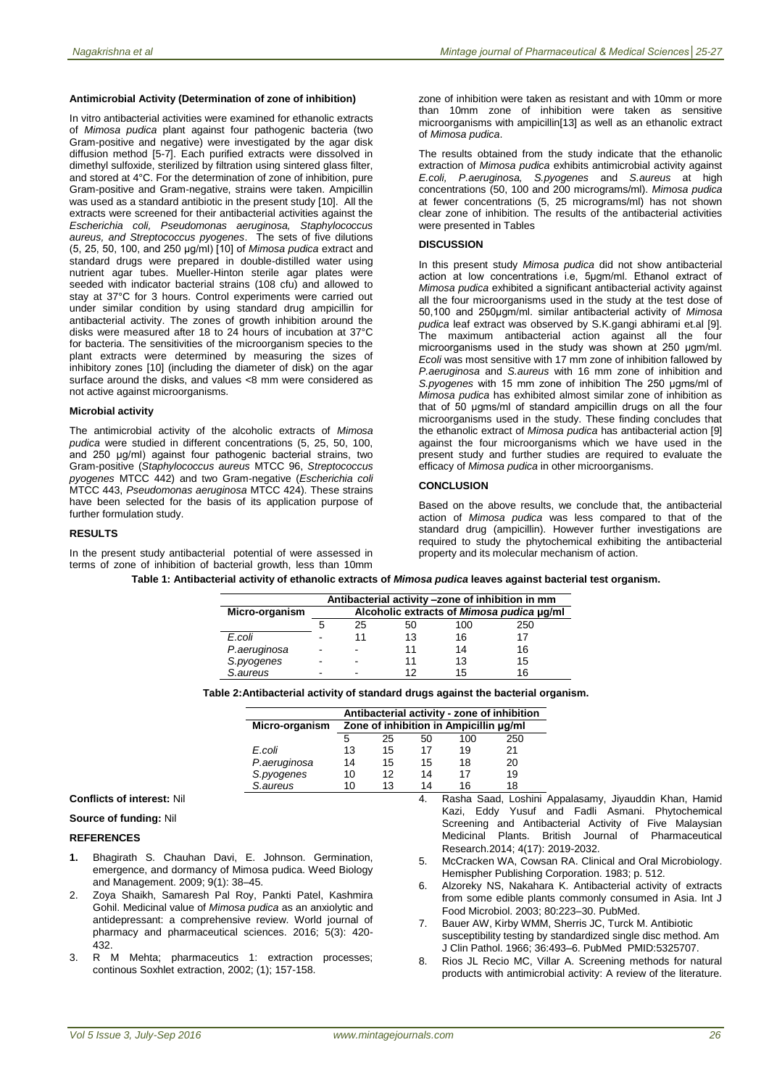#### **Antimicrobial Activity (Determination of zone of inhibition)**

In vitro antibacterial activities were examined for ethanolic extracts of *Mimosa pudica* plant against four pathogenic bacteria (two Gram-positive and negative) were investigated by the agar disk diffusion method [5-7]. Each purified extracts were dissolved in dimethyl sulfoxide, sterilized by filtration using sintered glass filter, and stored at 4°C. For the determination of zone of inhibition, pure Gram-positive and Gram-negative, strains were taken. Ampicillin was used as a standard antibiotic in the present study [10]. All the extracts were screened for their antibacterial activities against the *Escherichia coli, Pseudomonas aeruginosa, Staphylococcus aureus, and Streptococcus pyogenes*. The sets of five dilutions (5, 25, 50, 100, and 250 μg/ml) [10] of *Mimosa pudica* extract and standard drugs were prepared in double-distilled water using nutrient agar tubes. Mueller-Hinton sterile agar plates were seeded with indicator bacterial strains (108 cfu) and allowed to stay at 37°C for 3 hours. Control experiments were carried out under similar condition by using standard drug ampicillin for antibacterial activity. The zones of growth inhibition around the disks were measured after 18 to 24 hours of incubation at 37°C for bacteria. The sensitivities of the microorganism species to the plant extracts were determined by measuring the sizes of inhibitory zones [10] (including the diameter of disk) on the agar surface around the disks, and values <8 mm were considered as not active against microorganisms.

#### **Microbial activity**

The antimicrobial activity of the alcoholic extracts of *Mimosa pudica* were studied in different concentrations (5, 25, 50, 100, and 250 μg/ml) against four pathogenic bacterial strains, two Gram-positive (*Staphylococcus aureus* MTCC 96, *Streptococcus pyogenes* MTCC 442) and two Gram-negative (*Escherichia coli* MTCC 443, *Pseudomonas aeruginosa* MTCC 424). These strains have been selected for the basis of its application purpose of further formulation study.

#### **RESULTS**

In the present study antibacterial potential of were assessed in terms of zone of inhibition of bacterial growth, less than 10mm

zone of inhibition were taken as resistant and with 10mm or more than 10mm zone of inhibition were taken as sensitive microorganisms with ampicillin[13] as well as an ethanolic extract of *Mimosa pudica*.

The results obtained from the study indicate that the ethanolic extraction of *Mimosa pudica* exhibits antimicrobial activity against *E.coli, P.aeruginosa, S.pyogenes* and *S.aureus* at high concentrations (50, 100 and 200 micrograms/ml). *Mimosa pudica*  at fewer concentrations (5, 25 micrograms/ml) has not shown clear zone of inhibition. The results of the antibacterial activities were presented in Tables

#### **DISCUSSION**

In this present study *Mimosa pudica* did not show antibacterial action at low concentrations i.e, 5μgm/ml. Ethanol extract of *Mimosa pudica* exhibited a significant antibacterial activity against all the four microorganisms used in the study at the test dose of 50,100 and 250μgm/ml. similar antibacterial activity of *Mimosa pudica* leaf extract was observed by S.K.gangi abhirami et.al [9]. The maximum antibacterial action against all the four microorganisms used in the study was shown at 250 μgm/ml. *Ecoli* was most sensitive with 17 mm zone of inhibition fallowed by *P.aeruginosa* and *S.aureus* with 16 mm zone of inhibition and *S.pyogenes* with 15 mm zone of inhibition The 250 μgms/ml of *Mimosa pudica* has exhibited almost similar zone of inhibition as that of 50 ugms/ml of standard ampicillin drugs on all the four microorganisms used in the study. These finding concludes that the ethanolic extract of *Mimosa pudica* has antibacterial action [9] against the four microorganisms which we have used in the present study and further studies are required to evaluate the efficacy of *Mimosa pudica* in other microorganisms.

### **CONCLUSION**

Based on the above results, we conclude that, the antibacterial action of *Mimosa pudica* was less compared to that of the standard drug (ampicillin). However further investigations are required to study the phytochemical exhibiting the antibacterial property and its molecular mechanism of action.

|                | Antibacterial activity -zone of inhibition in mm |    |    |     |     |  |  |
|----------------|--------------------------------------------------|----|----|-----|-----|--|--|
| Micro-organism | Alcoholic extracts of Mimosa pudica µg/ml        |    |    |     |     |  |  |
|                | 5                                                | 25 | 50 | 100 | 250 |  |  |
| E.coli         |                                                  | 11 | 13 | 16  | 17  |  |  |
| P.aeruginosa   | $\overline{\phantom{0}}$                         | -  | 11 | 14  | 16  |  |  |
| S.pyogenes     |                                                  | ٠  | 11 | 13  | 15  |  |  |
| S.aureus       |                                                  | ٠  | 12 | 15  | 16  |  |  |

**Table 2:Antibacterial activity of standard drugs against the bacterial organism.**

|                | Antibacterial activity - zone of inhibition |    |    |     |     |  |  |  |
|----------------|---------------------------------------------|----|----|-----|-----|--|--|--|
| Micro-organism | Zone of inhibition in Ampicillin ug/ml      |    |    |     |     |  |  |  |
|                | 5                                           | 25 | 50 | 100 | 250 |  |  |  |
| E.coli         | 13                                          | 15 | 17 | 19  | 21  |  |  |  |
| P.aeruginosa   | 14                                          | 15 | 15 | 18  | 20  |  |  |  |
| S.pyogenes     | 10                                          | 12 | 14 | 17  | 19  |  |  |  |
| S.aureus       | 10                                          | 13 | 14 | 16  | 18  |  |  |  |

### **Conflicts of interest:** Nil

#### **Source of funding:** Nil

#### **REFERENCES**

- **1.** Bhagirath S. Chauhan Davi, E. Johnson. Germination, emergence, and dormancy of Mimosa pudica. Weed Biology and Management. 2009; 9(1): 38–45.
- Zoya Shaikh, Samaresh Pal Roy, Pankti Patel, Kashmira Gohil. Medicinal value of *Mimosa pudica* as an anxiolytic and antidepressant: a comprehensive review. World journal of pharmacy and pharmaceutical sciences. 2016; 5(3): 420- 432.
- 3. R M Mehta; pharmaceutics 1: extraction processes; continous Soxhlet extraction, 2002; (1); 157-158.
- 4. Rasha Saad, Loshini Appalasamy, Jiyauddin Khan, Hamid Kazi, Eddy Yusuf and Fadli Asmani. Phytochemical Screening and Antibacterial Activity of Five Malaysian Medicinal Plants. British Journal of Pharmaceutical Research.2014; 4(17): 2019-2032.
- 5. McCracken WA, Cowsan RA. Clinical and Oral Microbiology. Hemispher Publishing Corporation. 1983; p. 512.
- 6. Alzoreky NS, Nakahara K. Antibacterial activity of extracts from some edible plants commonly consumed in Asia. Int J Food Microbiol. 2003; 80:223–30. PubMed.
- Bauer AW, Kirby WMM, Sherris JC, Turck M. Antibiotic susceptibility testing by standardized single disc method. Am J Clin Pathol. 1966; 36:493–6. PubMed PMID:5325707.
- 8. Rios JL Recio MC, Villar A. Screening methods for natural products with antimicrobial activity: A review of the literature.